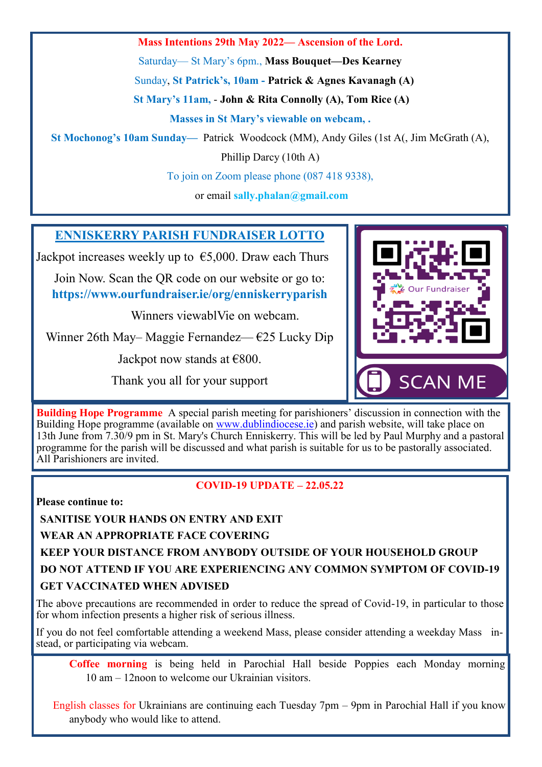**Mass Intentions 29th May 2022— Ascension of the Lord.**

Saturday— St Mary's 6pm., **Mass Bouquet—Des Kearney**

Sunday, **St Patrick's, 10am - Patrick & Agnes Kavanagh (A)**

**St Mary's 11am,** - **John & Rita Connolly (A), Tom Rice (A)**

**Masses in St Mary's viewable on webcam, .**

**St Mochonog's 10am Sunday—** Patrick Woodcock (MM), Andy Giles (1st A(, Jim McGrath (A),

Phillip Darcy (10th A)

To join on Zoom please phone (087 418 9338),

or email **sally.phalan@gmail.com** 

### **ENNISKERRY PARISH FUNDRAISER LOTTO**

Jackpot increases weekly up to  $\epsilon$ 5,000. Draw each Thurs

Join Now. Scan the QR code on our website or go to: **https://www.ourfundraiser.ie/org/enniskerryparish**

Winners viewablVie on webcam.

Winner 26th May– Maggie Fernandez— $\epsilon$ 25 Lucky Dip

Jackpot now stands at  $€800$ .

Thank you all for your support



**Building Hope Programme** A special parish meeting for parishioners' discussion in connection with the Building Hope programme (available on [www.dublindiocese.ie\)](http://www.dublindiocese.ie) and parish website, will take place on 13th June from 7.30/9 pm in St. Mary's Church Enniskerry. This will be led by Paul Murphy and a pastoral programme for the parish will be discussed and what parish is suitable for us to be pastorally associated. All Parishioners are invited.

#### **COVID-19 UPDATE – 22.05.22**

**Please continue to:**

**SANITISE YOUR HANDS ON ENTRY AND EXIT**

**WEAR AN APPROPRIATE FACE COVERING**

**KEEP YOUR DISTANCE FROM ANYBODY OUTSIDE OF YOUR HOUSEHOLD GROUP DO NOT ATTEND IF YOU ARE EXPERIENCING ANY COMMON SYMPTOM OF COVID-19 GET VACCINATED WHEN ADVISED**

The above precautions are recommended in order to reduce the spread of Covid-19, in particular to those for whom infection presents a higher risk of serious illness.

If you do not feel comfortable attending a weekend Mass, please consider attending a weekday Mass instead, or participating via webcam.

**Coffee morning** is being held in Parochial Hall beside Poppies each Monday morning 10 am – 12noon to welcome our Ukrainian visitors.

English classes for Ukrainians are continuing each Tuesday 7pm – 9pm in Parochial Hall if you know anybody who would like to attend.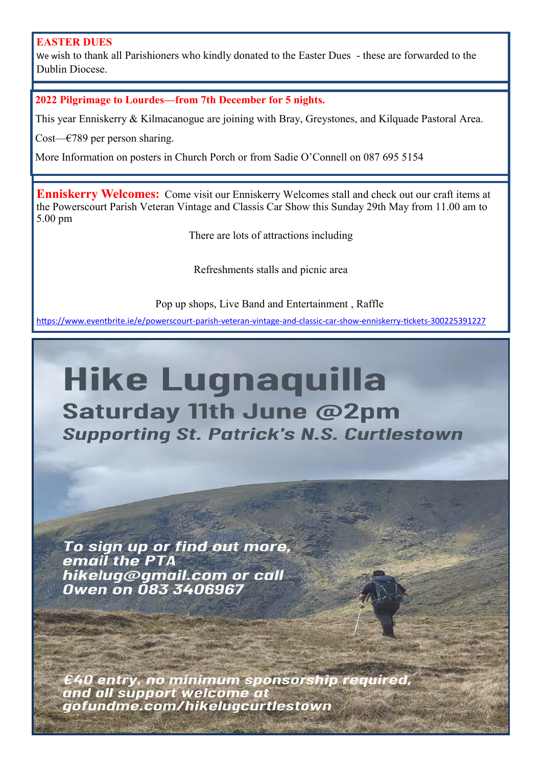#### **EASTER DUES**

**EASTER DUES** Dublin Diocese. We wish to thank all Parishioners who kindly donated to the Easter Dues - these are forwarded to the

**2022 Pilgrimage to Lourdes—from 7th December for 5 nights.**

This year Enniskerry & Kilmacanogue are joining with Bray, Greystones, and Kilquade Pastoral Area.

 $Cost$ — $E$ 789 per person sharing.

More Information on posters in Church Porch or from Sadie O'Connell on 087 695 5154

**Enniskerry Welcomes:** Come visit our Enniskerry Welcomes stall and check out our craft items at the Powerscourt Parish Veteran Vintage and Classis Car Show this Sunday 29th May from 11.00 am to 5.00 pm 5.00 pm

There are lots of attractions including

Refreshments stalls and picnic area

Pop up shops, Live Band and Entertainment , Raffle

[https://www.eventbrite.ie/e/powerscourt](https://www.eventbrite.ie/e/powerscourt-parish-veteran-vintage-and-classic-car-show-enniskerry-tickets-300225391227)-parish-veteran-vintage-and-classic-car-show-enniskerry-tickets-300225391227

# **Hike Lugnaquilla Saturday 11th June @2pm Supporting St. Patrick's N.S. Curtlestown**

To sign up or find out more, email the PTA hikelug@gmail.com or call Owen on 083 3406967

**£40 entry, no minimum sponsorship required,** and all support welcome at gofundme.com/hikelugcurtlestown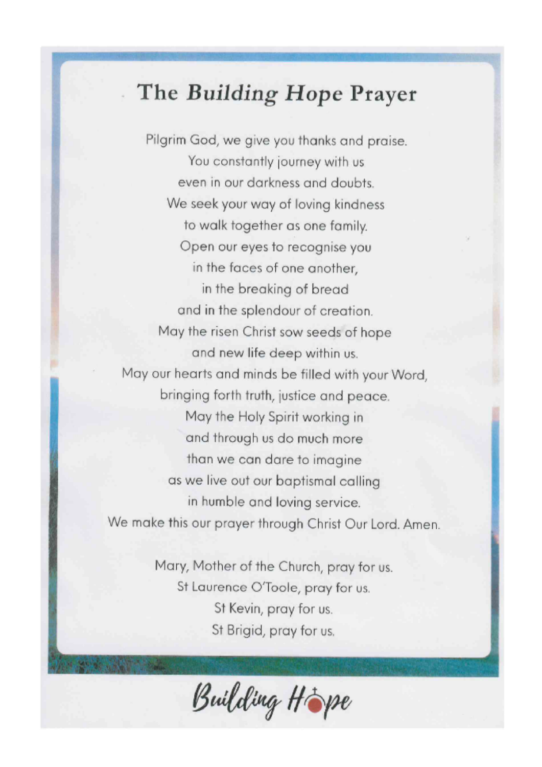## The Building Hope Prayer

Pilgrim God, we give you thanks and praise. You constantly journey with us even in our darkness and doubts. We seek your way of loving kindness to walk together as one family. Open our eyes to recognise you in the faces of one another. in the breaking of bread and in the splendour of creation. May the risen Christ sow seeds of hope and new life deep within us. May our hearts and minds be filled with your Word, bringing forth truth, justice and peace. May the Holy Spirit working in and through us do much more than we can dare to imagine as we live out our baptismal calling in humble and loving service. We make this our prayer through Christ Our Lord. Amen.

> Mary, Mother of the Church, pray for us. St Laurence O'Toole, pray for us. St Kevin, pray for us. St Brigid, pray for us.

Building Hope